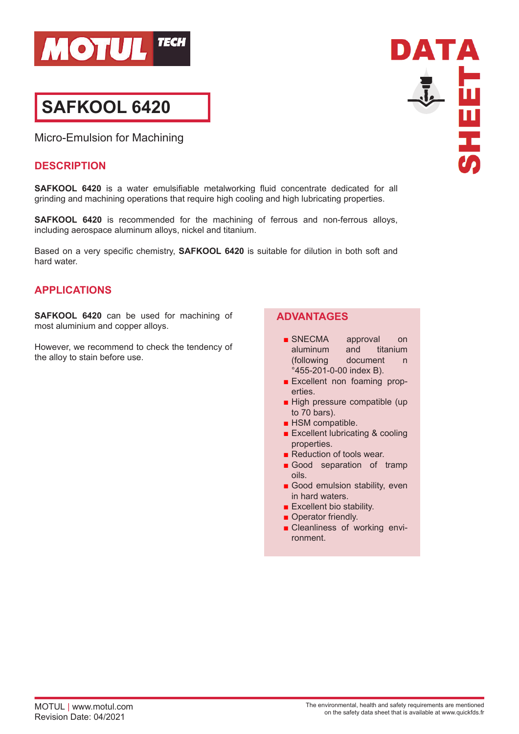

# **SAFKOOL 6420**

Micro-Emulsion for Machining

#### **DESCRIPTION**

**SAFKOOL 6420** is a water emulsifiable metalworking fluid concentrate dedicated for all grinding and machining operations that require high cooling and high lubricating properties.

**SAFKOOL 6420** is recommended for the machining of ferrous and non-ferrous alloys, including aerospace aluminum alloys, nickel and titanium.

Based on a very specific chemistry, **SAFKOOL 6420** is suitable for dilution in both soft and hard water.

# **APPLICATIONS**

**SAFKOOL 6420** can be used for machining of most aluminium and copper alloys.

However, we recommend to check the tendency of the alloy to stain before use.

# **ADVANTAGES**

- SNECMA approval on aluminum and titanium (following document n °455-201-0-00 index B).
- Excellent non foaming properties.
- High pressure compatible (up to 70 bars).
- HSM compatible.
- Excellent lubricating & cooling properties.
- Reduction of tools wear.
- Good separation of tramp oils.
- Good emulsion stability, even in hard waters.
- Excellent bio stability.
- Operator friendly.
- Cleanliness of working environment.

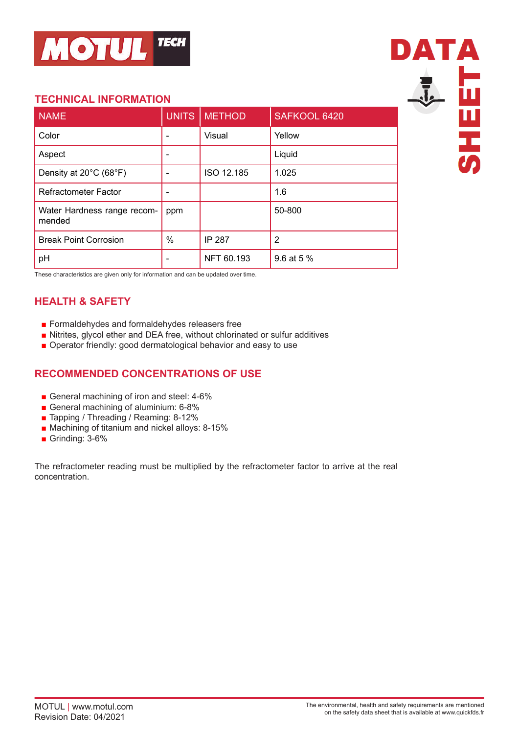

# **TECHNICAL INFORMATION**

| <b>NAME</b>                           | <b>UNITS</b> | <b>METHOD</b> | SAFKOOL 6420 |
|---------------------------------------|--------------|---------------|--------------|
| Color                                 |              | Visual        | Yellow       |
| Aspect                                |              |               | Liquid       |
| Density at 20°C (68°F)                |              | ISO 12.185    | 1.025        |
| <b>Refractometer Factor</b>           |              |               | 1.6          |
| Water Hardness range recom-<br>mended | ppm          |               | 50-800       |
| <b>Break Point Corrosion</b>          | %            | <b>IP 287</b> | 2            |
| pH                                    |              | NFT 60.193    | 9.6 at 5 %   |



These characteristics are given only for information and can be updated over time.

# **HEALTH & SAFETY**

- Formaldehydes and formaldehydes releasers free
- Nitrites, glycol ether and DEA free, without chlorinated or sulfur additives
- Operator friendly: good dermatological behavior and easy to use

# **RECOMMENDED CONCENTRATIONS OF USE**

- General machining of iron and steel: 4-6%
- General machining of aluminium: 6-8%
- Tapping / Threading / Reaming: 8-12%
- Machining of titanium and nickel alloys: 8-15%
- Grinding: 3-6%

The refractometer reading must be multiplied by the refractometer factor to arrive at the real concentration.